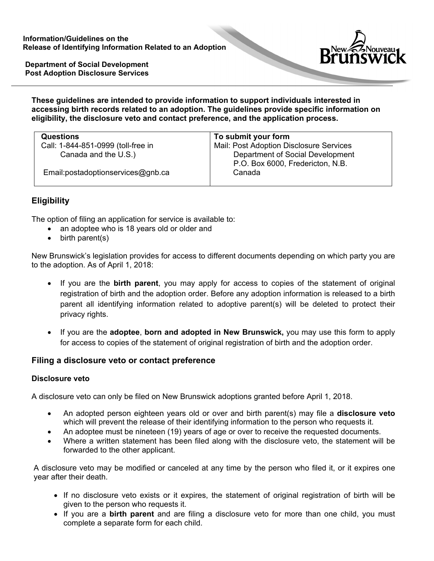

**Department of Social Development Post Adoption Disclosure Services** 

#### **These guidelines are intended to provide information to support individuals interested in accessing birth records related to an adoption. The guidelines provide specific information on eligibility, the disclosure veto and contact preference, and the application process.**

| <b>Questions</b>                   | To submit your form                                                  |
|------------------------------------|----------------------------------------------------------------------|
| Call: 1-844-851-0999 (toll-free in | Mail: Post Adoption Disclosure Services                              |
| Canada and the U.S.)               | Department of Social Development<br>P.O. Box 6000, Fredericton, N.B. |
| Email:postadoptionservices@gnb.ca  | Canada                                                               |

# **Eligibility**

The option of filing an application for service is available to:

- an adoptee who is 18 years old or older and
- birth parent(s)

New Brunswick's legislation provides for access to different documents depending on which party you are to the adoption. As of April 1, 2018:

- If you are the **birth parent**, you may apply for access to copies of the statement of original registration of birth and the adoption order. Before any adoption information is released to a birth parent all identifying information related to adoptive parent(s) will be deleted to protect their privacy rights.
- If you are the **adoptee**, **born and adopted in New Brunswick,** you may use this form to apply for access to copies of the statement of original registration of birth and the adoption order.

## **Filing a disclosure veto or contact preference**

### **Disclosure veto**

A disclosure veto can only be filed on New Brunswick adoptions granted before April 1, 2018.

- An adopted person eighteen years old or over and birth parent(s) may file a **disclosure veto**  which will prevent the release of their identifying information to the person who requests it.
- An adoptee must be nineteen (19) years of age or over to receive the requested documents.
- Where a written statement has been filed along with the disclosure veto, the statement will be forwarded to the other applicant.

A disclosure veto may be modified or canceled at any time by the person who filed it, or it expires one year after their death.

- If no disclosure veto exists or it expires, the statement of original registration of birth will be given to the person who requests it.
- If you are a **birth parent** and are filing a disclosure veto for more than one child, you must complete a separate form for each child.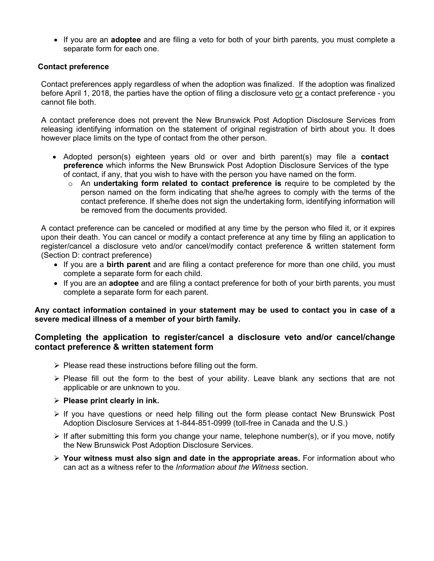If you are an **adoptee** and are filing a veto for both of your birth parents, you must complete a separate form for each one.

### **Contact preference**

Contact preferences apply regardless of when the adoption was finalized. If the adoption was finalized before April 1, 2018, the parties have the option of filing a disclosure veto or a contact preference - you cannot file both.

A contact preference does not prevent the New Brunswick Post Adoption Disclosure Services from releasing identifying information on the statement of original registration of birth about you. It does however place limits on the type of contact from the other person.

- Adopted person(s) eighteen years old or over and birth parent(s) may file a **contact preference** which informs the New Brunswick Post Adoption Disclosure Services of the type of contact, if any, that you wish to have with the person you have named on the form.
	- o An **undertaking form related to contact preference is** require to be completed by the person named on the form indicating that she/he agrees to comply with the terms of the contact preference. If she/he does not sign the undertaking form, identifying information will be removed from the documents provided.

A contact preference can be canceled or modified at any time by the person who filed it, or it expires upon their death. You can cancel or modify a contact preference at any time by filing an application to register/cancel a disclosure veto and/or cancel/modify contact preference & written statement form (Section D: contract preference)

- If you are a **birth parent** and are filing a contact preference for more than one child, you must complete a separate form for each child.
- If you are an **adoptee** and are filing a contact preference for both of your birth parents, you must complete a separate form for each parent.

**Any contact information contained in your statement may be used to contact you in case of a severe medical illness of a member of your birth family.** 

### **Completing the application to register/cancel a disclosure veto and/or cancel/change contact preference & written statement form**

- $\triangleright$  Please read these instructions before filling out the form.
- $\triangleright$  Please fill out the form to the best of your ability. Leave blank any sections that are not applicable or are unknown to you.
- **Please print clearly in ink.**
- $\triangleright$  If you have questions or need help filling out the form please contact New Brunswick Post Adoption Disclosure Services at 1-844-851-0999 (toll-free in Canada and the U.S.)
- $\triangleright$  If after submitting this form you change your name, telephone number(s), or if you move, notify the New Brunswick Post Adoption Disclosure Services.
- **Your witness must also sign and date in the appropriate areas.** For information about who can act as a witness refer to the *Information about the Witness* section.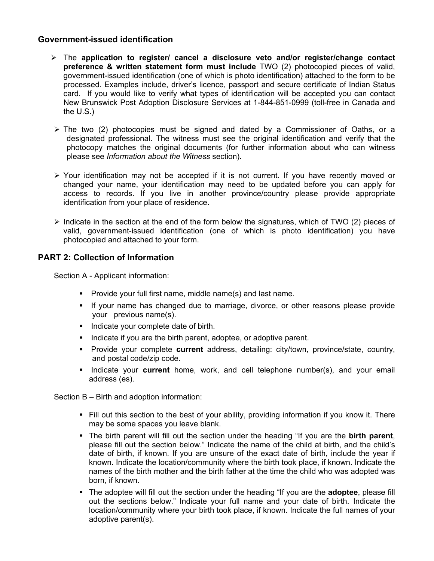### **Government-issued identification**

- The **application to register/ cancel a disclosure veto and/or register/change contact preference & written statement form must include** TWO (2) photocopied pieces of valid, government-issued identification (one of which is photo identification) attached to the form to be processed. Examples include, driver's licence, passport and secure certificate of Indian Status card. If you would like to verify what types of identification will be accepted you can contact New Brunswick Post Adoption Disclosure Services at 1-844-851-0999 (toll-free in Canada and the U.S.)
- $\triangleright$  The two (2) photocopies must be signed and dated by a Commissioner of Oaths, or a designated professional. The witness must see the original identification and verify that the photocopy matches the original documents (for further information about who can witness please see *Information about the Witness* section).
- $\triangleright$  Your identification may not be accepted if it is not current. If you have recently moved or changed your name, your identification may need to be updated before you can apply for access to records. If you live in another province/country please provide appropriate identification from your place of residence.
- $\triangleright$  Indicate in the section at the end of the form below the signatures, which of TWO (2) pieces of valid, government-issued identification (one of which is photo identification) you have photocopied and attached to your form.

### **PART 2: Collection of Information**

Section A - Applicant information:

- **Provide your full first name, middle name(s) and last name.**
- If your name has changed due to marriage, divorce, or other reasons please provide your previous name(s).
- Indicate your complete date of birth.
- Indicate if you are the birth parent, adoptee, or adoptive parent.
- Provide your complete **current** address, detailing: city/town, province/state, country, and postal code/zip code.
- Indicate your **current** home, work, and cell telephone number(s), and your email address (es).

Section B – Birth and adoption information:

- Fill out this section to the best of your ability, providing information if you know it. There may be some spaces you leave blank.
- The birth parent will fill out the section under the heading "If you are the **birth parent**, please fill out the section below." Indicate the name of the child at birth, and the child's date of birth, if known. If you are unsure of the exact date of birth, include the year if known. Indicate the location/community where the birth took place, if known. Indicate the names of the birth mother and the birth father at the time the child who was adopted was born, if known.
- The adoptee will fill out the section under the heading "If you are the **adoptee**, please fill out the sections below." Indicate your full name and your date of birth. Indicate the location/community where your birth took place, if known. Indicate the full names of your adoptive parent(s).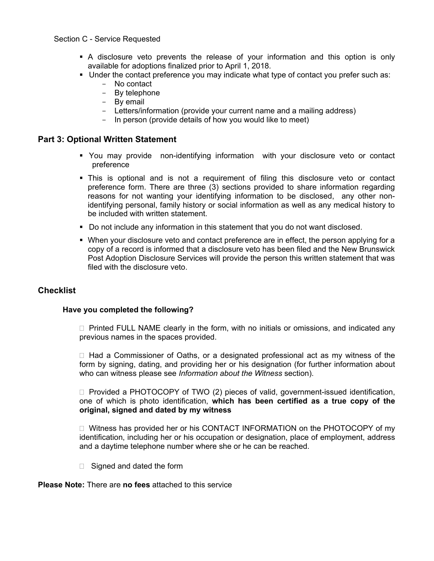#### Section C - Service Requested

- A disclosure veto prevents the release of your information and this option is only available for adoptions finalized prior to April 1, 2018.
- Under the contact preference you may indicate what type of contact you prefer such as:
	- No contact
	- By telephone
	- By email
	- Letters/information (provide your current name and a mailing address)<br>- In person (provide details of how you would like to meet)
	- In person (provide details of how you would like to meet)

#### **Part 3: Optional Written Statement**

- You may provide non-identifying information with your disclosure veto or contact preference
- This is optional and is not a requirement of filing this disclosure veto or contact preference form. There are three (3) sections provided to share information regarding reasons for not wanting your identifying information to be disclosed, any other nonidentifying personal, family history or social information as well as any medical history to be included with written statement.
- Do not include any information in this statement that you do not want disclosed.
- When your disclosure veto and contact preference are in effect, the person applying for a copy of a record is informed that a disclosure veto has been filed and the New Brunswick Post Adoption Disclosure Services will provide the person this written statement that was filed with the disclosure veto.

#### **Checklist**

#### **Have you completed the following?**

 $\Box$  Printed FULL NAME clearly in the form, with no initials or omissions, and indicated any previous names in the spaces provided.

 $\Box$  Had a Commissioner of Oaths, or a designated professional act as my witness of the form by signing, dating, and providing her or his designation (for further information about who can witness please see *Information about the Witness* section).

 $\Box$  Provided a PHOTOCOPY of TWO (2) pieces of valid, government-issued identification, one of which is photo identification, **which has been certified as a true copy of the original, signed and dated by my witness** 

□ Witness has provided her or his CONTACT INFORMATION on the PHOTOCOPY of my identification, including her or his occupation or designation, place of employment, address and a daytime telephone number where she or he can be reached.

 $\Box$  Signed and dated the form

#### **Please Note:** There are **no fees** attached to this service